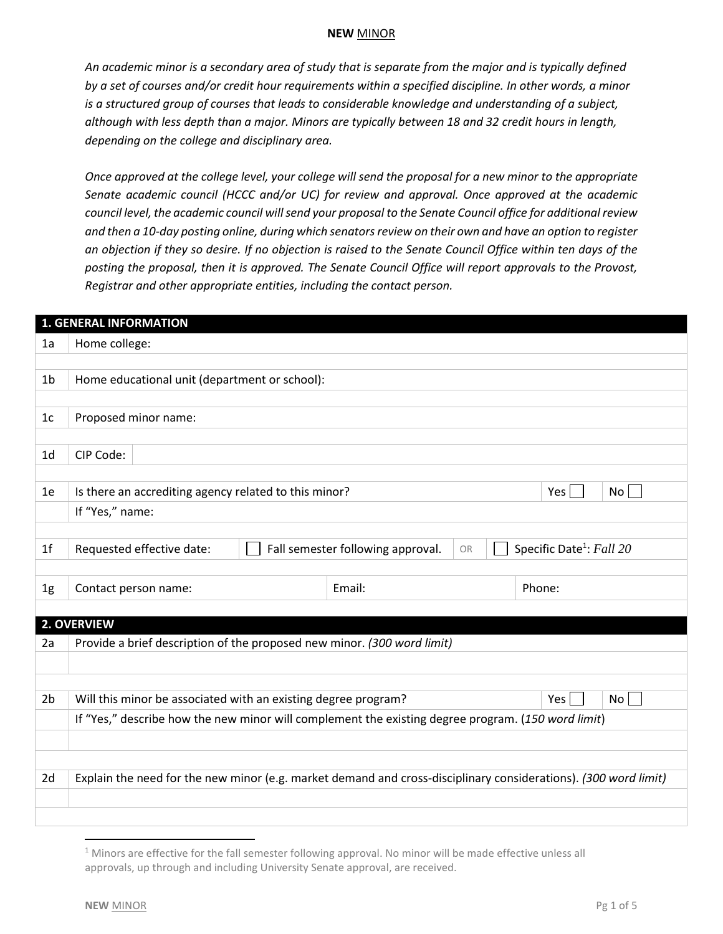*An academic minor is a secondary area of study that is separate from the major and is typically defined by a set of courses and/or credit hour requirements within a specified discipline. In other words, a minor is a structured group of courses that leads to considerable knowledge and understanding of a subject, although with less depth than a major. Minors are typically between 18 and 32 credit hours in length, depending on the college and disciplinary area.* 

*Once approved at the college level, your college will send the proposal for a new minor to the appropriate Senate academic council (HCCC and/or UC) for review and approval. Once approved at the academic council level, the academic council will send your proposal to the Senate Council office for additional review and then a 10-day posting online, during which senators review on their own and have an option to register an objection if they so desire. If no objection is raised to the Senate Council Office within ten days of the posting the proposal, then it is approved. The Senate Council Office will report approvals to the Provost, Registrar and other appropriate entities, including the contact person.* 

|                | <b>1. GENERAL INFORMATION</b>                                                                                   |  |                                   |    |                                      |  |  |
|----------------|-----------------------------------------------------------------------------------------------------------------|--|-----------------------------------|----|--------------------------------------|--|--|
| 1a             | Home college:                                                                                                   |  |                                   |    |                                      |  |  |
|                |                                                                                                                 |  |                                   |    |                                      |  |  |
| 1 <sub>b</sub> | Home educational unit (department or school):                                                                   |  |                                   |    |                                      |  |  |
|                |                                                                                                                 |  |                                   |    |                                      |  |  |
| 1 <sub>c</sub> | Proposed minor name:                                                                                            |  |                                   |    |                                      |  |  |
|                |                                                                                                                 |  |                                   |    |                                      |  |  |
| 1 <sub>d</sub> | CIP Code:                                                                                                       |  |                                   |    |                                      |  |  |
|                |                                                                                                                 |  |                                   |    |                                      |  |  |
| 1e             | Is there an accrediting agency related to this minor?                                                           |  |                                   |    | Yes<br>No                            |  |  |
|                | If "Yes," name:                                                                                                 |  |                                   |    |                                      |  |  |
|                |                                                                                                                 |  |                                   |    |                                      |  |  |
| 1 <sup>f</sup> | Requested effective date:                                                                                       |  | Fall semester following approval. | OR | Specific Date <sup>1</sup> : Fall 20 |  |  |
|                |                                                                                                                 |  |                                   |    |                                      |  |  |
| 1g             | Email:<br>Phone:<br>Contact person name:                                                                        |  |                                   |    |                                      |  |  |
|                |                                                                                                                 |  |                                   |    |                                      |  |  |
| 2a             | 2. OVERVIEW                                                                                                     |  |                                   |    |                                      |  |  |
|                | Provide a brief description of the proposed new minor. (300 word limit)                                         |  |                                   |    |                                      |  |  |
|                |                                                                                                                 |  |                                   |    |                                      |  |  |
| 2 <sub>b</sub> | Will this minor be associated with an existing degree program?<br>Yes  <br>No l                                 |  |                                   |    |                                      |  |  |
|                | If "Yes," describe how the new minor will complement the existing degree program. (150 word limit)              |  |                                   |    |                                      |  |  |
|                |                                                                                                                 |  |                                   |    |                                      |  |  |
|                |                                                                                                                 |  |                                   |    |                                      |  |  |
| 2d             | Explain the need for the new minor (e.g. market demand and cross-disciplinary considerations). (300 word limit) |  |                                   |    |                                      |  |  |
|                |                                                                                                                 |  |                                   |    |                                      |  |  |
|                |                                                                                                                 |  |                                   |    |                                      |  |  |

 $\overline{\phantom{a}}$ 

 $1$  Minors are effective for the fall semester following approval. No minor will be made effective unless all approvals, up through and including University Senate approval, are received.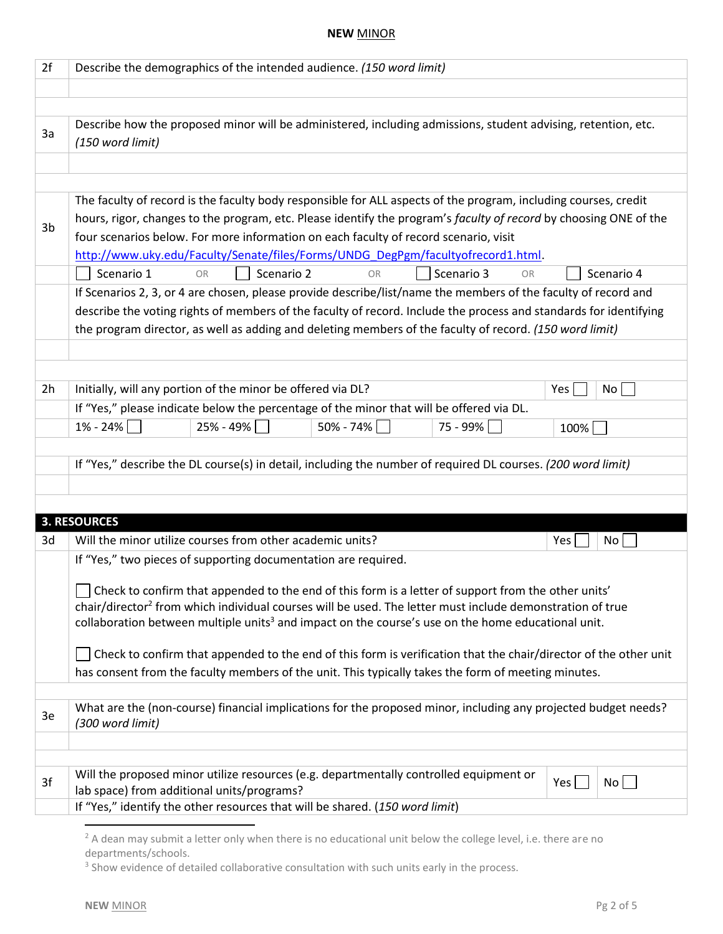| 2f | Describe the demographics of the intended audience. (150 word limit)                                                                                                                                                                |                                                                                                                 |                                                                                                                |          |           |  |  |  |
|----|-------------------------------------------------------------------------------------------------------------------------------------------------------------------------------------------------------------------------------------|-----------------------------------------------------------------------------------------------------------------|----------------------------------------------------------------------------------------------------------------|----------|-----------|--|--|--|
|    |                                                                                                                                                                                                                                     |                                                                                                                 |                                                                                                                |          |           |  |  |  |
|    |                                                                                                                                                                                                                                     |                                                                                                                 |                                                                                                                |          |           |  |  |  |
| 3a | Describe how the proposed minor will be administered, including admissions, student advising, retention, etc.                                                                                                                       |                                                                                                                 |                                                                                                                |          |           |  |  |  |
|    | (150 word limit)                                                                                                                                                                                                                    |                                                                                                                 |                                                                                                                |          |           |  |  |  |
|    |                                                                                                                                                                                                                                     |                                                                                                                 |                                                                                                                |          |           |  |  |  |
|    |                                                                                                                                                                                                                                     |                                                                                                                 |                                                                                                                |          |           |  |  |  |
|    |                                                                                                                                                                                                                                     | The faculty of record is the faculty body responsible for ALL aspects of the program, including courses, credit |                                                                                                                |          |           |  |  |  |
| 3b | hours, rigor, changes to the program, etc. Please identify the program's faculty of record by choosing ONE of the<br>four scenarios below. For more information on each faculty of record scenario, visit                           |                                                                                                                 |                                                                                                                |          |           |  |  |  |
|    |                                                                                                                                                                                                                                     |                                                                                                                 |                                                                                                                |          |           |  |  |  |
|    | http://www.uky.edu/Faculty/Senate/files/Forms/UNDG_DegPgm/facultyofrecord1.html.<br>Scenario 3<br>Scenario 1<br>Scenario 2<br>Scenario 4<br><b>OR</b>                                                                               |                                                                                                                 |                                                                                                                |          |           |  |  |  |
|    |                                                                                                                                                                                                                                     | <b>OR</b>                                                                                                       |                                                                                                                | OR       |           |  |  |  |
|    | If Scenarios 2, 3, or 4 are chosen, please provide describe/list/name the members of the faculty of record and<br>describe the voting rights of members of the faculty of record. Include the process and standards for identifying |                                                                                                                 |                                                                                                                |          |           |  |  |  |
|    |                                                                                                                                                                                                                                     |                                                                                                                 | the program director, as well as adding and deleting members of the faculty of record. (150 word limit)        |          |           |  |  |  |
|    |                                                                                                                                                                                                                                     |                                                                                                                 |                                                                                                                |          |           |  |  |  |
|    |                                                                                                                                                                                                                                     |                                                                                                                 |                                                                                                                |          |           |  |  |  |
| 2h | Initially, will any portion of the minor be offered via DL?                                                                                                                                                                         |                                                                                                                 |                                                                                                                |          | Yes<br>No |  |  |  |
|    |                                                                                                                                                                                                                                     |                                                                                                                 | If "Yes," please indicate below the percentage of the minor that will be offered via DL.                       |          |           |  |  |  |
|    | 1% - 24%                                                                                                                                                                                                                            | $25% - 49%$                                                                                                     | $50\% - 74\%$                                                                                                  | 75 - 99% | 100%      |  |  |  |
|    |                                                                                                                                                                                                                                     |                                                                                                                 |                                                                                                                |          |           |  |  |  |
|    |                                                                                                                                                                                                                                     |                                                                                                                 | If "Yes," describe the DL course(s) in detail, including the number of required DL courses. (200 word limit)   |          |           |  |  |  |
|    |                                                                                                                                                                                                                                     |                                                                                                                 |                                                                                                                |          |           |  |  |  |
|    |                                                                                                                                                                                                                                     |                                                                                                                 |                                                                                                                |          |           |  |  |  |
|    | <b>3. RESOURCES</b>                                                                                                                                                                                                                 |                                                                                                                 |                                                                                                                |          |           |  |  |  |
| 3d | Will the minor utilize courses from other academic units?                                                                                                                                                                           |                                                                                                                 |                                                                                                                |          | Yes<br>No |  |  |  |
|    | If "Yes," two pieces of supporting documentation are required.                                                                                                                                                                      |                                                                                                                 |                                                                                                                |          |           |  |  |  |
|    |                                                                                                                                                                                                                                     |                                                                                                                 |                                                                                                                |          |           |  |  |  |
|    |                                                                                                                                                                                                                                     |                                                                                                                 | Check to confirm that appended to the end of this form is a letter of support from the other units'            |          |           |  |  |  |
|    | chair/director <sup>2</sup> from which individual courses will be used. The letter must include demonstration of true                                                                                                               |                                                                                                                 |                                                                                                                |          |           |  |  |  |
|    | collaboration between multiple units <sup>3</sup> and impact on the course's use on the home educational unit.                                                                                                                      |                                                                                                                 |                                                                                                                |          |           |  |  |  |
|    | Check to confirm that appended to the end of this form is verification that the chair/director of the other unit                                                                                                                    |                                                                                                                 |                                                                                                                |          |           |  |  |  |
|    | has consent from the faculty members of the unit. This typically takes the form of meeting minutes.                                                                                                                                 |                                                                                                                 |                                                                                                                |          |           |  |  |  |
|    |                                                                                                                                                                                                                                     |                                                                                                                 |                                                                                                                |          |           |  |  |  |
| 3e |                                                                                                                                                                                                                                     |                                                                                                                 | What are the (non-course) financial implications for the proposed minor, including any projected budget needs? |          |           |  |  |  |
|    | (300 word limit)                                                                                                                                                                                                                    |                                                                                                                 |                                                                                                                |          |           |  |  |  |
|    |                                                                                                                                                                                                                                     |                                                                                                                 |                                                                                                                |          |           |  |  |  |
|    |                                                                                                                                                                                                                                     |                                                                                                                 |                                                                                                                |          |           |  |  |  |
| 3f | Will the proposed minor utilize resources (e.g. departmentally controlled equipment or<br>Yes<br>No<br>lab space) from additional units/programs?                                                                                   |                                                                                                                 |                                                                                                                |          |           |  |  |  |
|    | If "Yes," identify the other resources that will be shared. (150 word limit)                                                                                                                                                        |                                                                                                                 |                                                                                                                |          |           |  |  |  |
|    |                                                                                                                                                                                                                                     |                                                                                                                 |                                                                                                                |          |           |  |  |  |

 $2$  A dean may submit a letter only when there is no educational unit below the college level, i.e. there are no departments/schools.

<sup>&</sup>lt;sup>3</sup> Show evidence of detailed collaborative consultation with such units early in the process.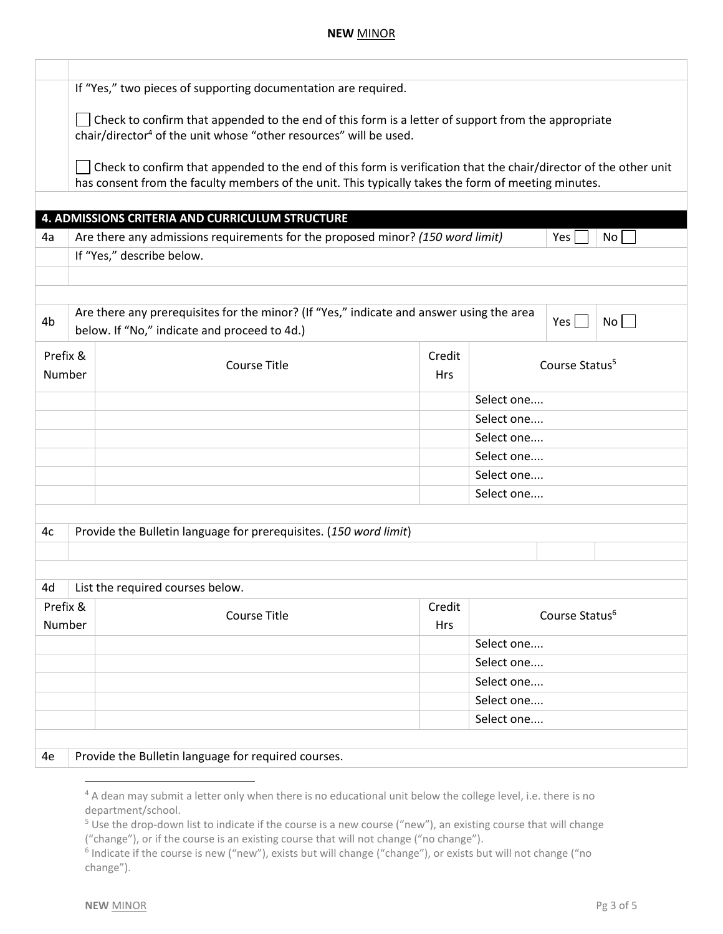|                    | If "Yes," two pieces of supporting documentation are required.                                                                                                                                                          |                                                                   |                      |                            |  |  |  |
|--------------------|-------------------------------------------------------------------------------------------------------------------------------------------------------------------------------------------------------------------------|-------------------------------------------------------------------|----------------------|----------------------------|--|--|--|
|                    | Check to confirm that appended to the end of this form is a letter of support from the appropriate<br>chair/director <sup>4</sup> of the unit whose "other resources" will be used.                                     |                                                                   |                      |                            |  |  |  |
|                    | Check to confirm that appended to the end of this form is verification that the chair/director of the other unit<br>has consent from the faculty members of the unit. This typically takes the form of meeting minutes. |                                                                   |                      |                            |  |  |  |
|                    |                                                                                                                                                                                                                         |                                                                   |                      |                            |  |  |  |
|                    |                                                                                                                                                                                                                         | 4. ADMISSIONS CRITERIA AND CURRICULUM STRUCTURE                   |                      |                            |  |  |  |
| 4a                 | Are there any admissions requirements for the proposed minor? (150 word limit)<br>Yes<br>No                                                                                                                             |                                                                   |                      |                            |  |  |  |
|                    | If "Yes," describe below.                                                                                                                                                                                               |                                                                   |                      |                            |  |  |  |
|                    |                                                                                                                                                                                                                         |                                                                   |                      |                            |  |  |  |
| 4b                 | Are there any prerequisites for the minor? (If "Yes," indicate and answer using the area<br>$Yes$    <br>No <sub>1</sub><br>below. If "No," indicate and proceed to 4d.)                                                |                                                                   |                      |                            |  |  |  |
| Prefix &<br>Number |                                                                                                                                                                                                                         | <b>Course Title</b>                                               | Credit<br><b>Hrs</b> | Course Status <sup>5</sup> |  |  |  |
|                    |                                                                                                                                                                                                                         |                                                                   |                      | Select one                 |  |  |  |
|                    |                                                                                                                                                                                                                         |                                                                   |                      | Select one                 |  |  |  |
|                    |                                                                                                                                                                                                                         |                                                                   |                      | Select one                 |  |  |  |
|                    |                                                                                                                                                                                                                         |                                                                   |                      | Select one                 |  |  |  |
|                    |                                                                                                                                                                                                                         |                                                                   |                      | Select one                 |  |  |  |
|                    |                                                                                                                                                                                                                         |                                                                   |                      | Select one                 |  |  |  |
| 4c                 |                                                                                                                                                                                                                         | Provide the Bulletin language for prerequisites. (150 word limit) |                      |                            |  |  |  |
|                    |                                                                                                                                                                                                                         |                                                                   |                      |                            |  |  |  |
|                    |                                                                                                                                                                                                                         |                                                                   |                      |                            |  |  |  |
| 4d                 |                                                                                                                                                                                                                         | List the required courses below.                                  |                      |                            |  |  |  |
| Prefix &<br>Number |                                                                                                                                                                                                                         | <b>Course Title</b>                                               | Credit<br>Hrs        | Course Status <sup>6</sup> |  |  |  |
|                    |                                                                                                                                                                                                                         |                                                                   |                      | Select one                 |  |  |  |
|                    |                                                                                                                                                                                                                         |                                                                   |                      | Select one                 |  |  |  |
|                    |                                                                                                                                                                                                                         |                                                                   |                      | Select one                 |  |  |  |
|                    |                                                                                                                                                                                                                         |                                                                   |                      | Select one                 |  |  |  |
|                    |                                                                                                                                                                                                                         |                                                                   |                      | Select one                 |  |  |  |
|                    |                                                                                                                                                                                                                         |                                                                   |                      |                            |  |  |  |
| 4e                 | Provide the Bulletin language for required courses.                                                                                                                                                                     |                                                                   |                      |                            |  |  |  |

 $\overline{\phantom{a}}$ 

<sup>&</sup>lt;sup>4</sup> A dean may submit a letter only when there is no educational unit below the college level, i.e. there is no department/school.

<sup>5</sup> Use the drop-down list to indicate if the course is a new course ("new"), an existing course that will change ("change"), or if the course is an existing course that will not change ("no change").

<sup>&</sup>lt;sup>6</sup> Indicate if the course is new ("new"), exists but will change ("change"), or exists but will not change ("no change").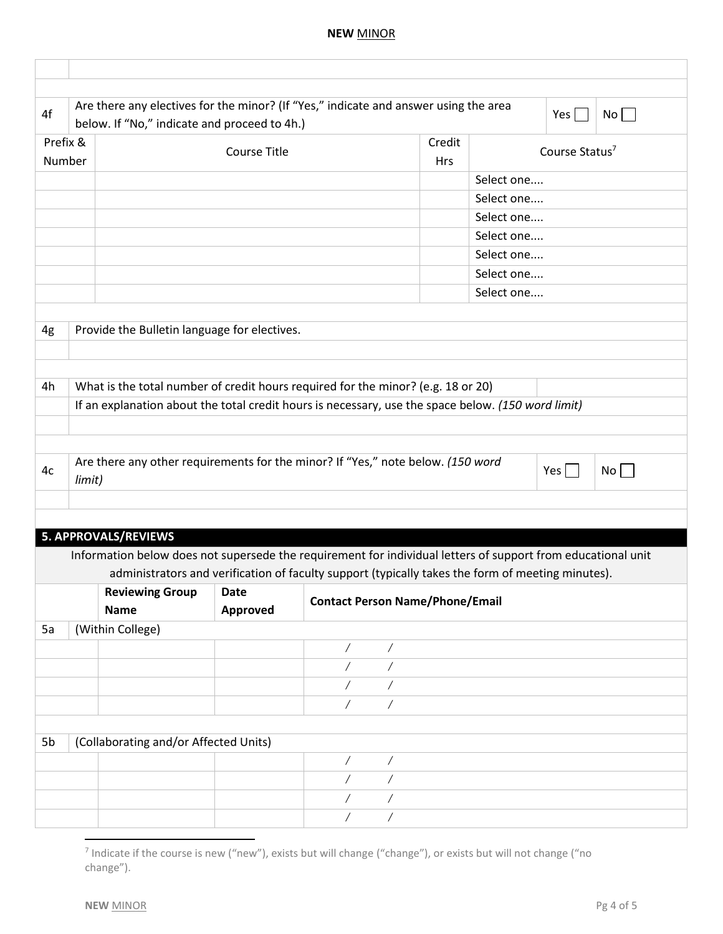| Are there any electives for the minor? (If "Yes," indicate and answer using the area<br>$Yes \mid \mid$<br>No<br>Credit<br>Course Status <sup>7</sup><br><b>Hrs</b><br>Select one<br>Select one<br>Select one                                                             |
|---------------------------------------------------------------------------------------------------------------------------------------------------------------------------------------------------------------------------------------------------------------------------|
|                                                                                                                                                                                                                                                                           |
|                                                                                                                                                                                                                                                                           |
|                                                                                                                                                                                                                                                                           |
|                                                                                                                                                                                                                                                                           |
|                                                                                                                                                                                                                                                                           |
|                                                                                                                                                                                                                                                                           |
| Select one                                                                                                                                                                                                                                                                |
| Select one                                                                                                                                                                                                                                                                |
| Select one                                                                                                                                                                                                                                                                |
| Select one                                                                                                                                                                                                                                                                |
|                                                                                                                                                                                                                                                                           |
|                                                                                                                                                                                                                                                                           |
|                                                                                                                                                                                                                                                                           |
| Information below does not supersede the requirement for individual letters of support from educational unit<br>administrators and verification of faculty support (typically takes the form of meeting minutes).                                                         |
| <b>Contact Person Name/Phone/Email</b>                                                                                                                                                                                                                                    |
|                                                                                                                                                                                                                                                                           |
|                                                                                                                                                                                                                                                                           |
|                                                                                                                                                                                                                                                                           |
|                                                                                                                                                                                                                                                                           |
|                                                                                                                                                                                                                                                                           |
|                                                                                                                                                                                                                                                                           |
|                                                                                                                                                                                                                                                                           |
|                                                                                                                                                                                                                                                                           |
|                                                                                                                                                                                                                                                                           |
|                                                                                                                                                                                                                                                                           |
|                                                                                                                                                                                                                                                                           |
| What is the total number of credit hours required for the minor? (e.g. 18 or 20)<br>If an explanation about the total credit hours is necessary, use the space below. (150 word limit)<br>Are there any other requirements for the minor? If "Yes," note below. (150 word |

<sup>&</sup>lt;sup>7</sup> Indicate if the course is new ("new"), exists but will change ("change"), or exists but will not change ("no change").